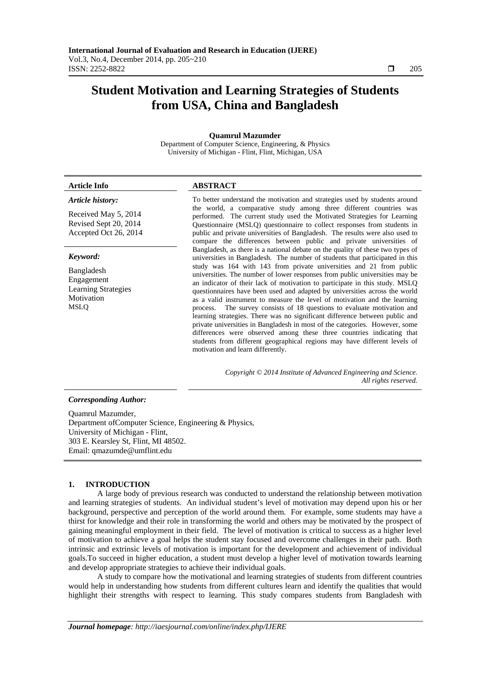# **Student Motivation and Learning Strategies of Students from USA, China and Bangladesh**

#### **Quamrul Mazumder**

Department of Computer Science, Engineering, & Physics University of Michigan - Flint, Flint, Michigan, USA

### *Article history:*

Received May 5, 2014 Revised Sept 20, 2014 Accepted Oct 26, 2014

#### *Keyword:*

Bangladesh Engagement Learning Strategies **Motivation** MSLQ

#### **Article Info ABSTRACT**

To better understand the motivation and strategies used by students around the world, a comparative study among three different countries was performed. The current study used the Motivated Strategies for Learning Questionnaire (MSLQ) questionnaire to collect responses from students in public and private universities of Bangladesh. The results were also used to compare the differences between public and private universities of Bangladesh, as there is a national debate on the quality of these two types of universities in Bangladesh. The number of students that participated in this study was 164 with 143 from private universities and 21 from public universities. The number of lower responses from public universities may be an indicator of their lack of motivation to participate in this study. MSLQ questionnaires have been used and adapted by universities across the world as a valid instrument to measure the level of motivation and the learning process. The survey consists of 18 questions to evaluate motivation and learning strategies. There was no significant difference between public and private universities in Bangladesh in most of the categories. However, some differences were observed among these three countries indicating that students from different geographical regions may have different levels of motivation and learn differently.

> *Copyright © 2014 Institute of Advanced Engineering and Science. All rights reserved.*

### *Corresponding Author:*

Quamrul Mazumder, Department ofComputer Science, Engineering & Physics, University of Michigan - Flint, 303 E. Kearsley St, Flint, MI 48502. Email: qmazumde@umflint.edu

#### **1. INTRODUCTION**

A large body of previous research was conducted to understand the relationship between motivation and learning strategies of students. An individual student's level of motivation may depend upon his or her background, perspective and perception of the world around them. For example, some students may have a thirst for knowledge and their role in transforming the world and others may be motivated by the prospect of gaining meaningful employment in their field. The level of motivation is critical to success as a higher level of motivation to achieve a goal helps the student stay focused and overcome challenges in their path. Both intrinsic and extrinsic levels of motivation is important for the development and achievement of individual goals.To succeed in higher education, a student must develop a higher level of motivation towards learning and develop appropriate strategies to achieve their individual goals.

A study to compare how the motivational and learning strategies of students from different countries would help in understanding how students from different cultures learn and identify the qualities that would highlight their strengths with respect to learning. This study compares students from Bangladesh with

ֺֺ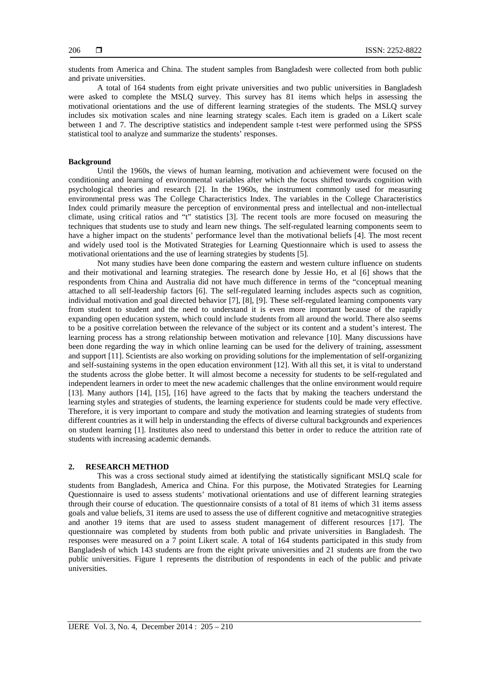students from America and China. The student samples from Bangladesh were collected from both public and private universities.

A total of 164 students from eight private universities and two public universities in Bangladesh were asked to complete the MSLQ survey. This survey has 81 items which helps in assessing the motivational orientations and the use of different learning strategies of the students. The MSLQ survey includes six motivation scales and nine learning strategy scales. Each item is graded on a Likert scale between 1 and 7. The descriptive statistics and independent sample t-test were performed using the SPSS statistical tool to analyze and summarize the students' responses.

#### **Background**

Until the 1960s, the views of human learning, motivation and achievement were focused on the conditioning and learning of environmental variables after which the focus shifted towards cognition with psychological theories and research [2]. In the 1960s, the instrument commonly used for measuring environmental press was The College Characteristics Index. The variables in the College Characteristics Index could primarily measure the perception of environmental press and intellectual and non-intellectual climate, using critical ratios and "t" statistics [3]. The recent tools are more focused on measuring the techniques that students use to study and learn new things. The self-regulated learning components seem to have a higher impact on the students' performance level than the motivational beliefs [4]. The most recent and widely used tool is the Motivated Strategies for Learning Questionnaire which is used to assess the motivational orientations and the use of learning strategies by students [5].

Not many studies have been done comparing the eastern and western culture influence on students and their motivational and learning strategies. The research done by Jessie Ho, et al [6] shows that the respondents from China and Australia did not have much difference in terms of the "conceptual meaning attached to all self-leadership factors [6]. The self-regulated learning includes aspects such as cognition, individual motivation and goal directed behavior [7], [8], [9]. These self-regulated learning components vary from student to student and the need to understand it is even more important because of the rapidly expanding open education system, which could include students from all around the world. There also seems to be a positive correlation between the relevance of the subject or its content and a student's interest. The learning process has a strong relationship between motivation and relevance [10]. Many discussions have been done regarding the way in which online learning can be used for the delivery of training, assessment and support [11]. Scientists are also working on providing solutions for the implementation of self-organizing and self-sustaining systems in the open education environment [12]. With all this set, it is vital to understand the students across the globe better. It will almost become a necessity for students to be self-regulated and independent learners in order to meet the new academic challenges that the online environment would require [13]. Many authors [14], [15], [16] have agreed to the facts that by making the teachers understand the learning styles and strategies of students, the learning experience for students could be made very effective. Therefore, it is very important to compare and study the motivation and learning strategies of students from different countries as it will help in understanding the effects of diverse cultural backgrounds and experiences on student learning [1]. Institutes also need to understand this better in order to reduce the attrition rate of students with increasing academic demands.

#### **2. RESEARCH METHOD**

This was a cross sectional study aimed at identifying the statistically significant MSLQ scale for students from Bangladesh, America and China. For this purpose, the Motivated Strategies for Learning Questionnaire is used to assess students' motivational orientations and use of different learning strategies through their course of education. The questionnaire consists of a total of 81 items of which 31 items assess goals and value beliefs, 31 items are used to assess the use of different cognitive and metacognitive strategies and another 19 items that are used to assess student management of different resources [17]. The questionnaire was completed by students from both public and private universities in Bangladesh. The responses were measured on a 7 point Likert scale. A total of 164 students participated in this study from Bangladesh of which 143 students are from the eight private universities and 21 students are from the two public universities. Figure 1 represents the distribution of respondents in each of the public and private universities.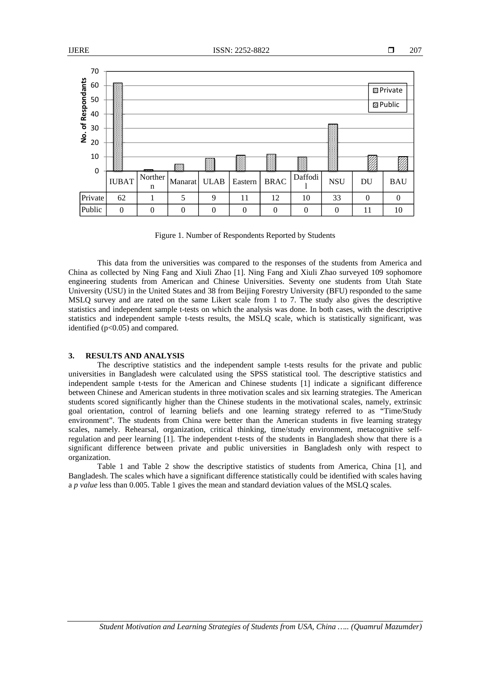

Figure 1. Number of Respondents Reported by Students

This data from the universities was compared to the responses of the students from America and China as collected by Ning Fang and Xiuli Zhao [1]. Ning Fang and Xiuli Zhao surveyed 109 sophomore engineering students from American and Chinese Universities. Seventy one students from Utah State University (USU) in the United States and 38 from Beijing Forestry University (BFU) responded to the same MSLQ survey and are rated on the same Likert scale from 1 to 7. The study also gives the descriptive statistics and independent sample t-tests on which the analysis was done. In both cases, with the descriptive statistics and independent sample t-tests results, the MSLQ scale, which is statistically significant, was identified (p<0.05) and compared.

# **3. RESULTS AND ANALYSIS**

The descriptive statistics and the independent sample t-tests results for the private and public universities in Bangladesh were calculated using the SPSS statistical tool. The descriptive statistics and independent sample t-tests for the American and Chinese students [1] indicate a significant difference between Chinese and American students in three motivation scales and six learning strategies. The American students scored significantly higher than the Chinese students in the motivational scales, namely, extrinsic goal orientation, control of learning beliefs and one learning strategy referred to as "Time/Study environment". The students from China were better than the American students in five learning strategy scales, namely. Rehearsal, organization, critical thinking, time/study environment, metacognitive selfregulation and peer learning [1]. The independent t-tests of the students in Bangladesh show that there is a significant difference between private and public universities in Bangladesh only with respect to organization.

Table 1 and Table 2 show the descriptive statistics of students from America, China [1], and Bangladesh. The scales which have a significant difference statistically could be identified with scales having a *p value* less than 0.005. Table 1 gives the mean and standard deviation values of the MSLQ scales.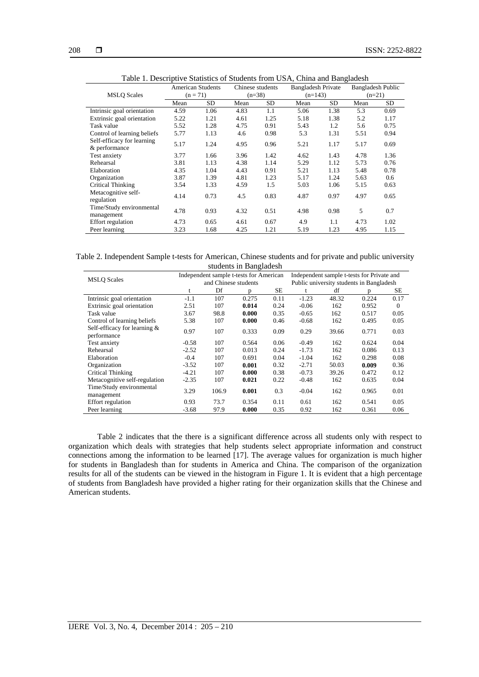| Tuble 1. Descriptive Blatistics of Blaticitis from ObTi, China and Banguacon |                          |      |                  |      |                           |      |                   |      |  |  |  |
|------------------------------------------------------------------------------|--------------------------|------|------------------|------|---------------------------|------|-------------------|------|--|--|--|
| <b>MSLQ Scales</b>                                                           | <b>American Students</b> |      | Chinese students |      | <b>Bangladesh Private</b> |      | Bangladesh Public |      |  |  |  |
|                                                                              | $(n = 71)$               |      | $(n=38)$         |      | $(n=143)$                 |      | $(n=21)$          |      |  |  |  |
|                                                                              | Mean                     | SD.  | Mean             | SD.  | Mean                      | SD.  | Mean              | SD.  |  |  |  |
| Intrinsic goal orientation                                                   | 4.59                     | 1.06 | 4.83             | 1.1  | 5.06                      | 1.38 | 5.3               | 0.69 |  |  |  |
| Extrinsic goal orientation                                                   | 5.22                     | 1.21 | 4.61             | 1.25 | 5.18                      | 1.38 | 5.2               | 1.17 |  |  |  |
| Task value                                                                   | 5.52                     | 1.28 | 4.75             | 0.91 | 5.43                      | 1.2  | 5.6               | 0.75 |  |  |  |
| Control of learning beliefs                                                  | 5.77                     | 1.13 | 4.6              | 0.98 | 5.3                       | 1.31 | 5.51              | 0.94 |  |  |  |
| Self-efficacy for learning                                                   | 5.17                     | 1.24 | 4.95             | 0.96 | 5.21                      | 1.17 | 5.17              | 0.69 |  |  |  |
| & performance                                                                |                          |      |                  |      |                           |      |                   |      |  |  |  |
| Test anxiety                                                                 | 3.77                     | 1.66 | 3.96             | 1.42 | 4.62                      | 1.43 | 4.78              | 1.36 |  |  |  |
| Rehearsal                                                                    | 3.81                     | 1.13 | 4.38             | 1.14 | 5.29                      | 1.12 | 5.73              | 0.76 |  |  |  |
| Elaboration                                                                  | 4.35                     | 1.04 | 4.43             | 0.91 | 5.21                      | 1.13 | 5.48              | 0.78 |  |  |  |
| Organization                                                                 | 3.87                     | 1.39 | 4.81             | 1.23 | 5.17                      | 1.24 | 5.63              | 0.6  |  |  |  |
| Critical Thinking                                                            | 3.54                     | 1.33 | 4.59             | 1.5  | 5.03                      | 1.06 | 5.15              | 0.63 |  |  |  |
| Metacognitive self-                                                          | 4.14                     | 0.73 | 4.5              | 0.83 | 4.87                      | 0.97 | 4.97              | 0.65 |  |  |  |
| regulation                                                                   |                          |      |                  |      |                           |      |                   |      |  |  |  |
| Time/Study environmental                                                     | 4.78                     | 0.93 | 4.32             | 0.51 | 4.98                      | 0.98 | 5                 | 0.7  |  |  |  |
| management                                                                   |                          |      |                  |      |                           |      |                   |      |  |  |  |
| <b>Effort</b> regulation                                                     | 4.73                     | 0.65 | 4.61             | 0.67 | 4.9                       | 1.1  | 4.73              | 1.02 |  |  |  |
| Peer learning                                                                | 3.23                     | 1.68 | 4.25             | 1.21 | 5.19                      | 1.23 | 4.95              | 1.15 |  |  |  |

Table 1. Descriptive Statistics of Students from USA, China and Bangladesh

Table 2. Independent Sample t-tests for American, Chinese students and for private and public university students in Bangladesh

|                                             | Independent sample t-tests for American |       |       |           | Independent sample t-tests for Private and |       |       |          |
|---------------------------------------------|-----------------------------------------|-------|-------|-----------|--------------------------------------------|-------|-------|----------|
| <b>MSLQ Scales</b>                          | and Chinese students                    |       |       |           | Public university students in Bangladesh   |       |       |          |
|                                             | t                                       | Df    | D     | <b>SE</b> | t                                          | df    | n.    | SE       |
| Intrinsic goal orientation                  | $-1.1$                                  | 107   | 0.275 | 0.11      | $-1.23$                                    | 48.32 | 0.224 | 0.17     |
| Extrinsic goal orientation                  | 2.51                                    | 107   | 0.014 | 0.24      | $-0.06$                                    | 162   | 0.952 | $\Omega$ |
| Task value                                  | 3.67                                    | 98.8  | 0.000 | 0.35      | $-0.65$                                    | 162   | 0.517 | 0.05     |
| Control of learning beliefs                 | 5.38                                    | 107   | 0.000 | 0.46      | $-0.68$                                    | 162   | 0.495 | 0.05     |
| Self-efficacy for learning &<br>performance | 0.97                                    | 107   | 0.333 | 0.09      | 0.29                                       | 39.66 | 0.771 | 0.03     |
| Test anxiety                                | $-0.58$                                 | 107   | 0.564 | 0.06      | $-0.49$                                    | 162   | 0.624 | 0.04     |
| Rehearsal                                   | $-2.52$                                 | 107   | 0.013 | 0.24      | $-1.73$                                    | 162   | 0.086 | 0.13     |
| Elaboration                                 | $-0.4$                                  | 107   | 0.691 | 0.04      | $-1.04$                                    | 162   | 0.298 | 0.08     |
| Organization                                | $-3.52$                                 | 107   | 0.001 | 0.32      | $-2.71$                                    | 50.03 | 0.009 | 0.36     |
| Critical Thinking                           | $-4.21$                                 | 107   | 0.000 | 0.38      | $-0.73$                                    | 39.26 | 0.472 | 0.12     |
| Metacognitive self-regulation               | $-2.35$                                 | 107   | 0.021 | 0.22      | $-0.48$                                    | 162   | 0.635 | 0.04     |
| Time/Study environmental<br>management      | 3.29                                    | 106.9 | 0.001 | 0.3       | $-0.04$                                    | 162   | 0.965 | 0.01     |
| Effort regulation                           | 0.93                                    | 73.7  | 0.354 | 0.11      | 0.61                                       | 162   | 0.541 | 0.05     |
| Peer learning                               | $-3.68$                                 | 97.9  | 0.000 | 0.35      | 0.92                                       | 162   | 0.361 | 0.06     |

 Table 2 indicates that the there is a significant difference across all students only with respect to organization which deals with strategies that help students select appropriate information and construct connections among the information to be learned  $\overline{17}$ . The average values for organization is much higher for students in Bangladesh than for students in America and China. The comparison of the organization results for all of the students can be viewed in the histogram in Figure 1. It is evident that a high percentage of students from Bangladesh have provided a higher rating for their organization skills that the Chinese and American students.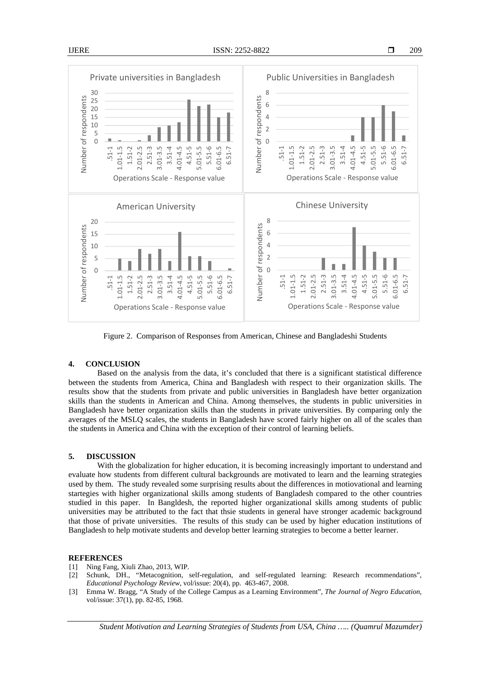

Figure 2. Comparison of Responses from American, Chinese and Bangladeshi Students

## **4. CONCLUSION**

 Based on the analysis from the data, it's concluded that there is a significant statistical difference between the students from America, China and Bangladesh with respect to their organization skills. The results show that the students from private and public universities in Bangladesh have better organization skills than the students in American and China. Among themselves, the students in public universities in Bangladesh have better organization skills than the students in private universities. By comparing only the averages of the MSLQ scales, the students in Bangladesh have scored fairly higher on all of the scales than the students in America and China with the exception of their control of learning beliefs.

# **5. DISCUSSION**

With the globalization for higher education, it is becoming increasingly important to understand and evaluate how students from different cultural backgrounds are motivated to learn and the learning strategies used by them. The study revealed some surprising results about the differences in motiovational and learning startegies with higher organizational skills among students of Bangladesh compared to the other countries studied in this paper. In Bangldesh, the reported higher organizational skills among students of public universities may be attributed to the fact that thsie students in general have stronger academic background that those of private universities. The results of this study can be used by higher education institutions of Bangladesh to help motivate students and develop better learning strategies to become a better learner.

#### **REFERENCES**

- [1] Ning Fang, Xiuli Zhao, 2013, WIP.
- [2] Schunk, DH., "Metacognition, self-regulation, and self-regulated learning: Research recommendations", *Educational Psychology Review*, vol/issue: 20(4), pp. 463-467, 2008.
- [3] Emma W. Bragg, "A Study of the College Campus as a Learning Environment", *The Journal of Negro Education*, vol/issue: 37(1), pp. 82-85, 1968.